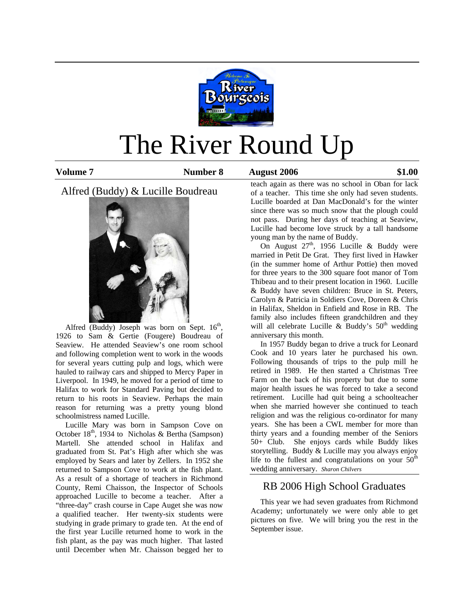

# The River Round Up

**Volume 7 61.00 Number 8 61.00 August 2006** 61.00

Alfred (Buddy) & Lucille Boudreau



Alfred (Buddy) Joseph was born on Sept.  $16<sup>th</sup>$ , 1926 to Sam & Gertie (Fougere) Boudreau of Seaview. He attended Seaview's one room school and following completion went to work in the woods for several years cutting pulp and logs, which were hauled to railway cars and shipped to Mercy Paper in Liverpool. In 1949, he moved for a period of time to Halifax to work for Standard Paving but decided to return to his roots in Seaview. Perhaps the main reason for returning was a pretty young blond schoolmistress named Lucille.

 Lucille Mary was born in Sampson Cove on October  $18<sup>th</sup>$ , 1934 to Nicholas & Bertha (Sampson) Martell. She attended school in Halifax and graduated from St. Pat's High after which she was employed by Sears and later by Zellers. In 1952 she returned to Sampson Cove to work at the fish plant. As a result of a shortage of teachers in Richmond County, Remi Chaisson, the Inspector of Schools approached Lucille to become a teacher. After a "three-day" crash course in Cape Auget she was now a qualified teacher. Her twenty-six students were studying in grade primary to grade ten. At the end of the first year Lucille returned home to work in the fish plant, as the pay was much higher. That lasted until December when Mr. Chaisson begged her to

teach again as there was no school in Oban for lack of a teacher. This time she only had seven students. Lucille boarded at Dan MacDonald's for the winter since there was so much snow that the plough could not pass. During her days of teaching at Seaview, Lucille had become love struck by a tall handsome young man by the name of Buddy.

On August  $27<sup>th</sup>$ , 1956 Lucille & Buddy were married in Petit De Grat. They first lived in Hawker (in the summer home of Arthur Pottie) then moved for three years to the 300 square foot manor of Tom Thibeau and to their present location in 1960. Lucille & Buddy have seven children: Bruce in St. Peters, Carolyn & Patricia in Soldiers Cove, Doreen & Chris in Halifax, Sheldon in Enfield and Rose in RB. The family also includes fifteen grandchildren and they will all celebrate Lucille & Buddy's  $50<sup>th</sup>$  wedding anniversary this month.

 In 1957 Buddy began to drive a truck for Leonard Cook and 10 years later he purchased his own. Following thousands of trips to the pulp mill he retired in 1989. He then started a Christmas Tree Farm on the back of his property but due to some major health issues he was forced to take a second retirement. Lucille had quit being a schoolteacher when she married however she continued to teach religion and was the religious co-ordinator for many years. She has been a CWL member for more than thirty years and a founding member of the Seniors 50+ Club. She enjoys cards while Buddy likes storytelling. Buddy & Lucille may you always enjoy life to the fullest and congratulations on your  $50<sup>th</sup>$ wedding anniversary. *Sharon Chilvers* 

# RB 2006 High School Graduates

 This year we had seven graduates from Richmond Academy; unfortunately we were only able to get pictures on five. We will bring you the rest in the September issue.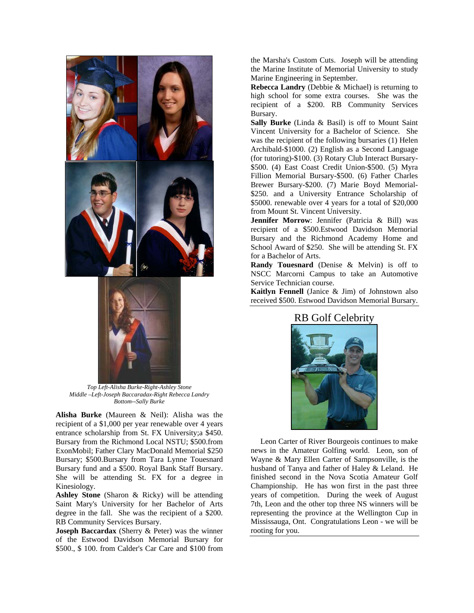

*Top Left-Alisha Burke-Right-Ashley Stone Middle –Left-Joseph Baccaradax-Right Rebecca Landry Bottom--Sally Burke* 

**Alisha Burke** (Maureen & Neil): Alisha was the recipient of a \$1,000 per year renewable over 4 years entrance scholarship from St. FX University;a \$450. Bursary from the Richmond Local NSTU; \$500.from ExonMobil; Father Clary MacDonald Memorial \$250 Bursary; \$500.Bursary from Tara Lynne Touesnard Bursary fund and a \$500. Royal Bank Staff Bursary. She will be attending St. FX for a degree in Kinesiology.

**Ashley Stone** (Sharon & Ricky) will be attending Saint Mary's University for her Bachelor of Arts degree in the fall. She was the recipient of a \$200. RB Community Services Bursary.

**Joseph Baccardax** (Sherry & Peter) was the winner of the Estwood Davidson Memorial Bursary for \$500., \$ 100. from Calder's Car Care and \$100 from the Marsha's Custom Cuts. Joseph will be attending the Marine Institute of Memorial University to study Marine Engineering in September.

**Rebecca Landry** (Debbie & Michael) is returning to high school for some extra courses. She was the recipient of a \$200. RB Community Services Bursary.

**Sally Burke** (Linda & Basil) is off to Mount Saint Vincent University for a Bachelor of Science. She was the recipient of the following bursaries (1) Helen Archibald-\$1000. (2) English as a Second Language (for tutoring)-\$100. (3) Rotary Club Interact Bursary- \$500. (4) East Coast Credit Union-\$500. (5) Myra Fillion Memorial Bursary-\$500. (6) Father Charles Brewer Bursary-\$200. (7) Marie Boyd Memorial- \$250. and a University Entrance Scholarship of \$5000. renewable over 4 years for a total of \$20,000 from Mount St. Vincent University.

**Jennifer Morrow**: Jennifer (Patricia & Bill) was recipient of a \$500.Estwood Davidson Memorial Bursary and the Richmond Academy Home and School Award of \$250. She will be attending St. FX for a Bachelor of Arts.

**Randy Touesnard** (Denise & Melvin) is off to NSCC Marcorni Campus to take an Automotive Service Technician course.

**Kaitlyn Fennell** (Janice & Jim) of Johnstown also received \$500. Estwood Davidson Memorial Bursary.

# RB Golf Celebrity



 Leon Carter of River Bourgeois continues to make news in the Amateur Golfing world. Leon, son of Wayne & Mary Ellen Carter of Sampsonville, is the husband of Tanya and father of Haley & Leland. He finished second in the Nova Scotia Amateur Golf Championship. He has won first in the past three years of competition. During the week of August 7th, Leon and the other top three NS winners will be representing the province at the Wellington Cup in Mississauga, Ont. Congratulations Leon - we will be rooting for you.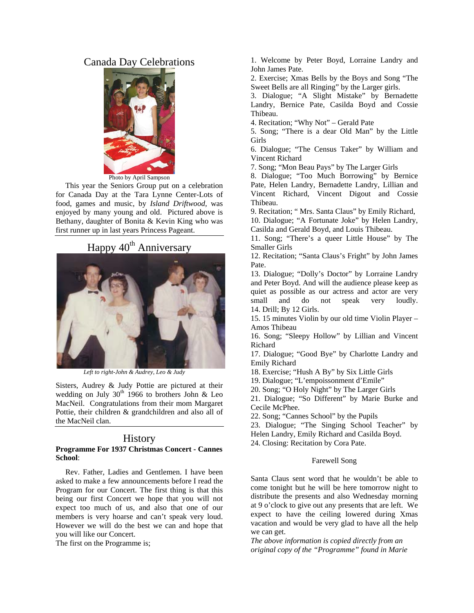# Canada Day Celebrations



Photo by April Sampson

 This year the Seniors Group put on a celebration for Canada Day at the Tara Lynne Center-Lots of food, games and music, by *Island Driftwood,* was enjoyed by many young and old. Pictured above is Bethany, daughter of Bonita & Kevin King who was first runner up in last years Princess Pageant.

# Happy 40<sup>th</sup> Anniversary



*Left to right-John & Audrey, Leo & Judy* 

Sisters, Audrey & Judy Pottie are pictured at their wedding on July  $30<sup>th</sup>$  1966 to brothers John & Leo MacNeil. Congratulations from their mom Margaret Pottie, their children & grandchildren and also all of the MacNeil clan.

# **History**

#### **Programme For 1937 Christmas Concert - Cannes School**:

 Rev. Father, Ladies and Gentlemen. I have been asked to make a few announcements before I read the Program for our Concert. The first thing is that this being our first Concert we hope that you will not expect too much of us, and also that one of our members is very hoarse and can't speak very loud. However we will do the best we can and hope that you will like our Concert.

The first on the Programme is;

1. Welcome by Peter Boyd, Lorraine Landry and John James Pate.

2. Exercise; Xmas Bells by the Boys and Song "The Sweet Bells are all Ringing" by the Larger girls.

3. Dialogue; "A Slight Mistake" by Bernadette Landry, Bernice Pate, Casilda Boyd and Cossie Thibeau.

4. Recitation; "Why Not" – Gerald Pate

5. Song; "There is a dear Old Man" by the Little Girls

6. Dialogue; "The Census Taker" by William and Vincent Richard

7. Song; "Mon Beau Pays" by The Larger Girls

8. Dialogue; "Too Much Borrowing" by Bernice Pate, Helen Landry, Bernadette Landry, Lillian and Vincent Richard, Vincent Digout and Cossie Thibeau.

9. Recitation; " Mrs. Santa Claus" by Emily Richard,

10. Dialogue; "A Fortunate Joke" by Helen Landry, Casilda and Gerald Boyd, and Louis Thibeau.

11. Song; "There's a queer Little House" by The Smaller Girls

12. Recitation; "Santa Claus's Fright" by John James Pate.

13. Dialogue; "Dolly's Doctor" by Lorraine Landry and Peter Boyd. And will the audience please keep as quiet as possible as our actress and actor are very small and do not speak very loudly. 14. Drill; By 12 Girls.

15. 15 minutes Violin by our old time Violin Player – Amos Thibeau

16. Song; "Sleepy Hollow" by Lillian and Vincent Richard

17. Dialogue; "Good Bye" by Charlotte Landry and Emily Richard

18. Exercise; "Hush A By" by Six Little Girls

19. Dialogue; "L'empoissonment d'Emile"

20. Song; "O Holy Night" by The Larger Girls

21. Dialogue; "So Different" by Marie Burke and Cecile McPhee.

22. Song; "Cannes School" by the Pupils

23. Dialogue; "The Singing School Teacher" by Helen Landry, Emily Richard and Casilda Boyd.

24. Closing: Recitation by Cora Pate.

#### Farewell Song

Santa Claus sent word that he wouldn't be able to come tonight but he will be here tomorrow night to distribute the presents and also Wednesday morning at 9 o'clock to give out any presents that are left. We expect to have the ceiling lowered during Xmas vacation and would be very glad to have all the help we can get.

*The above information is copied directly from an original copy of the "Programme" found in Marie*